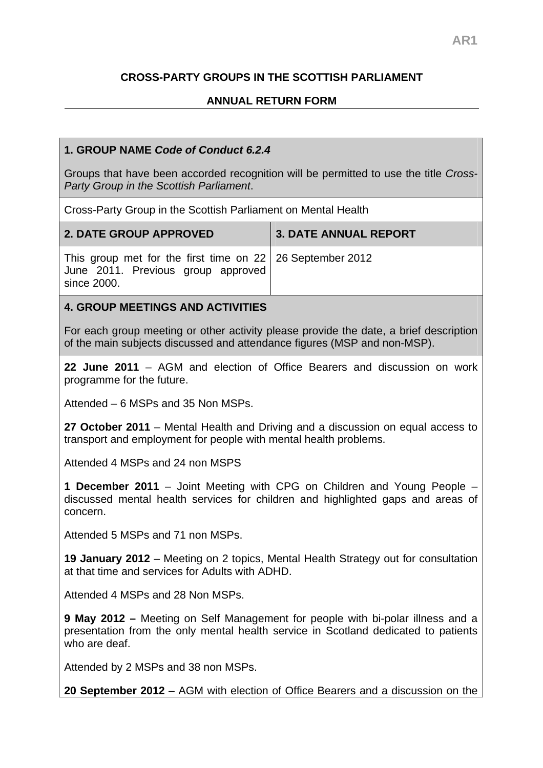# **CROSS-PARTY GROUPS IN THE SCOTTISH PARLIAMENT**

# **ANNUAL RETURN FORM**

### **1. GROUP NAME** *Code of Conduct 6.2.4*

Groups that have been accorded recognition will be permitted to use the title *Cross-Party Group in the Scottish Parliament*.

Cross-Party Group in the Scottish Parliament on Mental Health

| <b>2. DATE GROUP APPROVED</b>                                                                                    | <b>3. DATE ANNUAL REPORT</b> |
|------------------------------------------------------------------------------------------------------------------|------------------------------|
| This group met for the first time on 22   26 September 2012<br>June 2011. Previous group approved<br>since 2000. |                              |
| <b>4. GROUP MEETINGS AND ACTIVITIES</b>                                                                          |                              |

For each group meeting or other activity please provide the date, a brief description of the main subjects discussed and attendance figures (MSP and non-MSP).

**22 June 2011** – AGM and election of Office Bearers and discussion on work programme for the future.

Attended – 6 MSPs and 35 Non MSPs.

**27 October 2011** – Mental Health and Driving and a discussion on equal access to transport and employment for people with mental health problems.

Attended 4 MSPs and 24 non MSPS

**1 December 2011** – Joint Meeting with CPG on Children and Young People – discussed mental health services for children and highlighted gaps and areas of concern.

Attended 5 MSPs and 71 non MSPs.

**19 January 2012** – Meeting on 2 topics, Mental Health Strategy out for consultation at that time and services for Adults with ADHD.

Attended 4 MSPs and 28 Non MSPs.

**9 May 2012 –** Meeting on Self Management for people with bi-polar illness and a presentation from the only mental health service in Scotland dedicated to patients who are deaf.

Attended by 2 MSPs and 38 non MSPs.

**20 September 2012** – AGM with election of Office Bearers and a discussion on the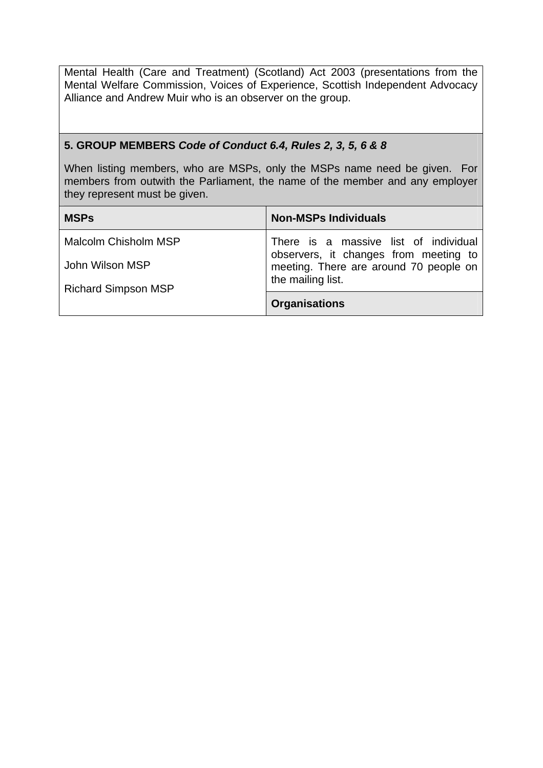Mental Health (Care and Treatment) (Scotland) Act 2003 (presentations from the Mental Welfare Commission, Voices of Experience, Scottish Independent Advocacy Alliance and Andrew Muir who is an observer on the group.

#### **5. GROUP MEMBERS** *Code of Conduct 6.4, Rules 2, 3, 5, 6 & 8*

When listing members, who are MSPs, only the MSPs name need be given. For members from outwith the Parliament, the name of the member and any employer they represent must be given.

| <b>MSPs</b>                | <b>Non-MSPs Individuals</b>                                                 |
|----------------------------|-----------------------------------------------------------------------------|
| Malcolm Chisholm MSP       | There is a massive list of individual observers, it changes from meeting to |
| John Wilson MSP            | meeting. There are around 70 people on                                      |
| <b>Richard Simpson MSP</b> | the mailing list.                                                           |
|                            | <b>Organisations</b>                                                        |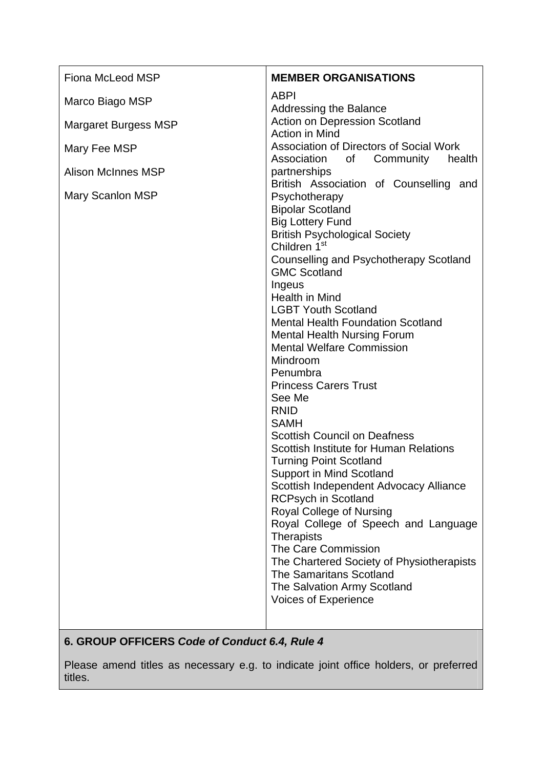| Fiona McLeod MSP          | <b>MEMBER ORGANISATIONS</b>                                                                                                                                                                                                                                                                                                                                                                                                                                                                                                                                                                                                                                                                                                                                                                                                                                                                                                                                                        |
|---------------------------|------------------------------------------------------------------------------------------------------------------------------------------------------------------------------------------------------------------------------------------------------------------------------------------------------------------------------------------------------------------------------------------------------------------------------------------------------------------------------------------------------------------------------------------------------------------------------------------------------------------------------------------------------------------------------------------------------------------------------------------------------------------------------------------------------------------------------------------------------------------------------------------------------------------------------------------------------------------------------------|
| Marco Biago MSP           | <b>ABPI</b><br><b>Addressing the Balance</b>                                                                                                                                                                                                                                                                                                                                                                                                                                                                                                                                                                                                                                                                                                                                                                                                                                                                                                                                       |
| Margaret Burgess MSP      | <b>Action on Depression Scotland</b><br>Action in Mind                                                                                                                                                                                                                                                                                                                                                                                                                                                                                                                                                                                                                                                                                                                                                                                                                                                                                                                             |
| Mary Fee MSP              | <b>Association of Directors of Social Work</b><br>Association<br>Community<br>0f<br>health                                                                                                                                                                                                                                                                                                                                                                                                                                                                                                                                                                                                                                                                                                                                                                                                                                                                                         |
| <b>Alison McInnes MSP</b> | partnerships<br>British Association of Counselling and                                                                                                                                                                                                                                                                                                                                                                                                                                                                                                                                                                                                                                                                                                                                                                                                                                                                                                                             |
| Mary Scanlon MSP          | Psychotherapy<br><b>Bipolar Scotland</b><br><b>Big Lottery Fund</b><br><b>British Psychological Society</b><br>Children 1 <sup>st</sup><br>Counselling and Psychotherapy Scotland<br><b>GMC Scotland</b><br>Ingeus<br><b>Health in Mind</b><br><b>LGBT Youth Scotland</b><br><b>Mental Health Foundation Scotland</b><br><b>Mental Health Nursing Forum</b><br><b>Mental Welfare Commission</b><br>Mindroom<br>Penumbra<br><b>Princess Carers Trust</b><br>See Me<br><b>RNID</b><br><b>SAMH</b><br><b>Scottish Council on Deafness</b><br><b>Scottish Institute for Human Relations</b><br><b>Turning Point Scotland</b><br>Support in Mind Scotland<br>Scottish Independent Advocacy Alliance<br><b>RCPsych in Scotland</b><br>Royal College of Nursing<br>Royal College of Speech and Language<br><b>Therapists</b><br>The Care Commission<br>The Chartered Society of Physiotherapists<br><b>The Samaritans Scotland</b><br>The Salvation Army Scotland<br>Voices of Experience |
|                           |                                                                                                                                                                                                                                                                                                                                                                                                                                                                                                                                                                                                                                                                                                                                                                                                                                                                                                                                                                                    |

# **6. GROUP OFFICERS** *Code of Conduct 6.4, Rule 4*

Please amend titles as necessary e.g. to indicate joint office holders, or preferred titles.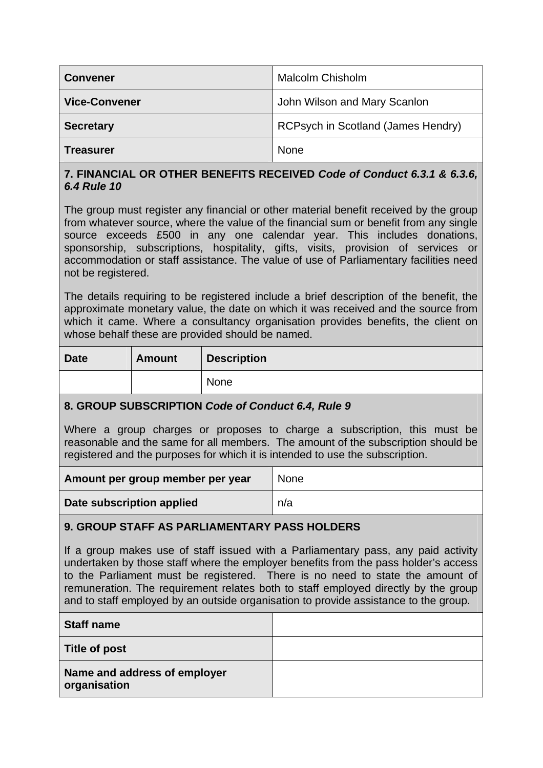| <b>Convener</b>      | <b>Malcolm Chisholm</b>            |
|----------------------|------------------------------------|
| <b>Vice-Convener</b> | John Wilson and Mary Scanlon       |
| <b>Secretary</b>     | RCPsych in Scotland (James Hendry) |
| <b>Treasurer</b>     | <b>None</b>                        |

## **7. FINANCIAL OR OTHER BENEFITS RECEIVED** *Code of Conduct 6.3.1 & 6.3.6, 6.4 Rule 10*

The group must register any financial or other material benefit received by the group from whatever source, where the value of the financial sum or benefit from any single source exceeds £500 in any one calendar year. This includes donations, sponsorship, subscriptions, hospitality, gifts, visits, provision of services or accommodation or staff assistance. The value of use of Parliamentary facilities need not be registered.

The details requiring to be registered include a brief description of the benefit, the approximate monetary value, the date on which it was received and the source from which it came. Where a consultancy organisation provides benefits, the client on whose behalf these are provided should be named.

| <b>Date</b> | <b>Amount</b> | <b>Description</b> |
|-------------|---------------|--------------------|
|             |               | None               |

## **8. GROUP SUBSCRIPTION** *Code of Conduct 6.4, Rule 9*

Where a group charges or proposes to charge a subscription, this must be reasonable and the same for all members. The amount of the subscription should be registered and the purposes for which it is intended to use the subscription.

| Amount per group member per year | <b>None</b> |
|----------------------------------|-------------|
| Date subscription applied        | n/a         |

## **9. GROUP STAFF AS PARLIAMENTARY PASS HOLDERS**

If a group makes use of staff issued with a Parliamentary pass, any paid activity undertaken by those staff where the employer benefits from the pass holder's access to the Parliament must be registered. There is no need to state the amount of remuneration. The requirement relates both to staff employed directly by the group and to staff employed by an outside organisation to provide assistance to the group.

| <b>Staff name</b>                            |  |
|----------------------------------------------|--|
| Title of post                                |  |
| Name and address of employer<br>organisation |  |